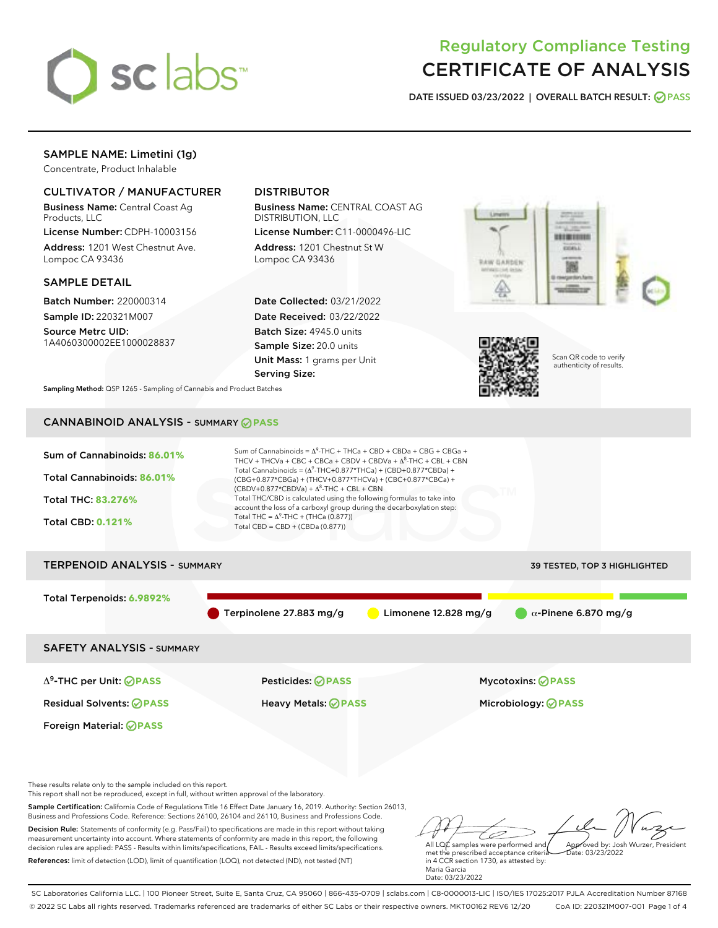

# Regulatory Compliance Testing CERTIFICATE OF ANALYSIS

DATE ISSUED 03/23/2022 | OVERALL BATCH RESULT: @ PASS

## SAMPLE NAME: Limetini (1g)

Concentrate, Product Inhalable

## CULTIVATOR / MANUFACTURER

Business Name: Central Coast Ag Products, LLC

License Number: CDPH-10003156 Address: 1201 West Chestnut Ave. Lompoc CA 93436

#### SAMPLE DETAIL

Batch Number: 220000314 Sample ID: 220321M007

Source Metrc UID: 1A4060300002EE1000028837

## DISTRIBUTOR

Business Name: CENTRAL COAST AG DISTRIBUTION, LLC

License Number: C11-0000496-LIC Address: 1201 Chestnut St W Lompoc CA 93436

Date Collected: 03/21/2022 Date Received: 03/22/2022 Batch Size: 4945.0 units Sample Size: 20.0 units Unit Mass: 1 grams per Unit Serving Size:





Scan QR code to verify authenticity of results.

Sampling Method: QSP 1265 - Sampling of Cannabis and Product Batches

## CANNABINOID ANALYSIS - SUMMARY **PASS**



References: limit of detection (LOD), limit of quantification (LOQ), not detected (ND), not tested (NT)

All LQC samples were performed and met the prescribed acceptance criteria in 4 CCR section 1730, as attested by: Maria Garcia Date: 03/23/2022  $hat: 03/23/2022$ 

SC Laboratories California LLC. | 100 Pioneer Street, Suite E, Santa Cruz, CA 95060 | 866-435-0709 | sclabs.com | C8-0000013-LIC | ISO/IES 17025:2017 PJLA Accreditation Number 87168 © 2022 SC Labs all rights reserved. Trademarks referenced are trademarks of either SC Labs or their respective owners. MKT00162 REV6 12/20 CoA ID: 220321M007-001 Page 1 of 4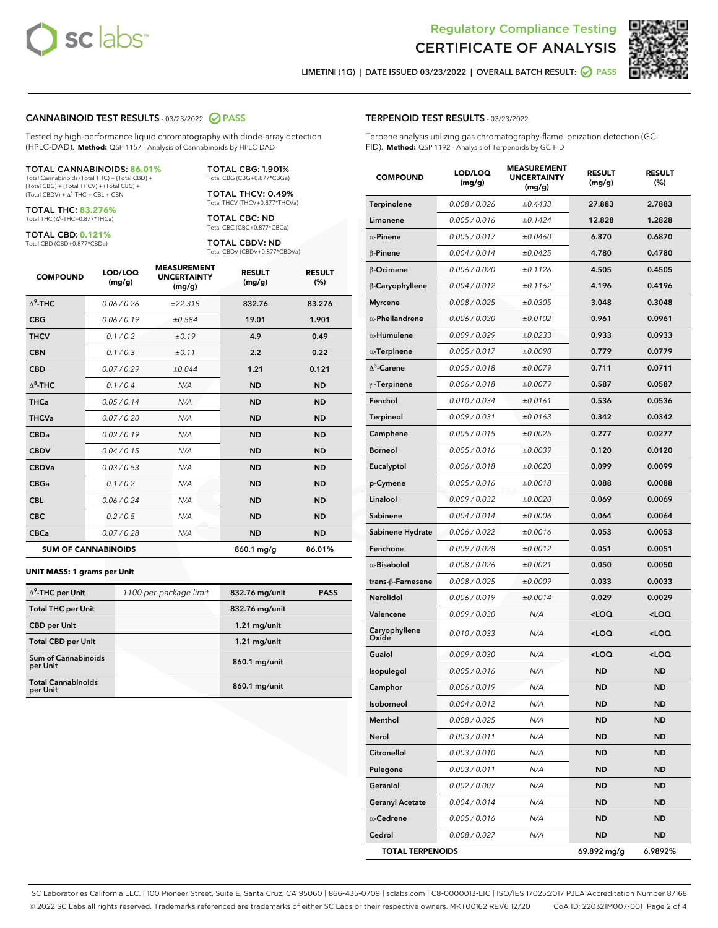



LIMETINI (1G) | DATE ISSUED 03/23/2022 | OVERALL BATCH RESULT:  $\bigcirc$  PASS

#### CANNABINOID TEST RESULTS - 03/23/2022 2 PASS

Tested by high-performance liquid chromatography with diode-array detection (HPLC-DAD). **Method:** QSP 1157 - Analysis of Cannabinoids by HPLC-DAD

#### TOTAL CANNABINOIDS: **86.01%**

Total Cannabinoids (Total THC) + (Total CBD) + (Total CBG) + (Total THCV) + (Total CBC) +  $(Total CBDV) +  $\Delta^8$ -THC + CBL + CBN$ 

TOTAL THC: **83.276%** Total THC (Δ<sup>9</sup> -THC+0.877\*THCa)

TOTAL CBD: **0.121%**

Total CBD (CBD+0.877\*CBDa)

TOTAL CBG: 1.901% Total CBG (CBG+0.877\*CBGa)

TOTAL THCV: 0.49% Total THCV (THCV+0.877\*THCVa)

TOTAL CBC: ND Total CBC (CBC+0.877\*CBCa)

TOTAL CBDV: ND Total CBDV (CBDV+0.877\*CBDVa)

| <b>COMPOUND</b>  | LOD/LOQ<br>(mg/g)          | <b>MEASUREMENT</b><br><b>UNCERTAINTY</b><br>(mg/g) | <b>RESULT</b><br>(mg/g) | <b>RESULT</b><br>(%) |
|------------------|----------------------------|----------------------------------------------------|-------------------------|----------------------|
| $\Lambda^9$ -THC | 0.06 / 0.26                | ±22.318                                            | 832.76                  | 83.276               |
| <b>CBG</b>       | 0.06/0.19                  | ±0.584                                             | 19.01                   | 1.901                |
| <b>THCV</b>      | 0.1 / 0.2                  | ±0.19                                              | 4.9                     | 0.49                 |
| <b>CBN</b>       | 0.1/0.3                    | ±0.11                                              | 2.2                     | 0.22                 |
| <b>CBD</b>       | 0.07/0.29                  | ±0.044                                             | 1.21                    | 0.121                |
| $\Delta^8$ -THC  | 0.1 / 0.4                  | N/A                                                | <b>ND</b>               | <b>ND</b>            |
| <b>THCa</b>      | 0.05/0.14                  | N/A                                                | <b>ND</b>               | <b>ND</b>            |
| <b>THCVa</b>     | 0.07 / 0.20                | N/A                                                | <b>ND</b>               | <b>ND</b>            |
| <b>CBDa</b>      | 0.02 / 0.19                | N/A                                                | <b>ND</b>               | <b>ND</b>            |
| <b>CBDV</b>      | 0.04 / 0.15                | N/A                                                | <b>ND</b>               | <b>ND</b>            |
| <b>CBDVa</b>     | 0.03/0.53                  | N/A                                                | <b>ND</b>               | <b>ND</b>            |
| <b>CBGa</b>      | 0.1/0.2                    | N/A                                                | <b>ND</b>               | <b>ND</b>            |
| <b>CBL</b>       | 0.06 / 0.24                | N/A                                                | <b>ND</b>               | <b>ND</b>            |
| <b>CBC</b>       | 0.2 / 0.5                  | N/A                                                | <b>ND</b>               | <b>ND</b>            |
| <b>CBCa</b>      | 0.07/0.28                  | N/A                                                | <b>ND</b>               | <b>ND</b>            |
|                  | <b>SUM OF CANNABINOIDS</b> |                                                    | 860.1 mg/g              | 86.01%               |

#### **UNIT MASS: 1 grams per Unit**

| $\Delta^9$ -THC per Unit               | 1100 per-package limit | 832.76 mg/unit | <b>PASS</b> |
|----------------------------------------|------------------------|----------------|-------------|
| <b>Total THC per Unit</b>              |                        | 832.76 mg/unit |             |
| <b>CBD per Unit</b>                    |                        | $1.21$ mg/unit |             |
| <b>Total CBD per Unit</b>              |                        | $1.21$ mg/unit |             |
| <b>Sum of Cannabinoids</b><br>per Unit |                        | 860.1 mg/unit  |             |
| <b>Total Cannabinoids</b><br>per Unit  |                        | 860.1 mg/unit  |             |

| <b>COMPOUND</b>         | LOD/LOQ<br>(mg/g) | ASUREM<br><b>UNCERTAINTY</b><br>(mg/g) | <b>RESULT</b><br>(mg/g)                          | <b>RESULT</b><br>$(\%)$ |
|-------------------------|-------------------|----------------------------------------|--------------------------------------------------|-------------------------|
| Terpinolene             | 0.008 / 0.026     | ±0.4433                                | 27.883                                           | 2.7883                  |
| Limonene                | 0.005 / 0.016     | ±0.1424                                | 12.828                                           | 1.2828                  |
| $\alpha$ -Pinene        | 0.005 / 0.017     | ±0.0460                                | 6.870                                            | 0.6870                  |
| $\beta$ -Pinene         | 0.004 / 0.014     | ±0.0425                                | 4.780                                            | 0.4780                  |
| $\beta$ -Ocimene        | 0.006 / 0.020     | ±0.1126                                | 4.505                                            | 0.4505                  |
| β-Caryophyllene         | 0.004 / 0.012     | ±0.1162                                | 4.196                                            | 0.4196                  |
| <b>Myrcene</b>          | 0.008 / 0.025     | ±0.0305                                | 3.048                                            | 0.3048                  |
| $\alpha$ -Phellandrene  | 0.006 / 0.020     | ±0.0102                                | 0.961                                            | 0.0961                  |
| $\alpha$ -Humulene      | 0.009 / 0.029     | ±0.0233                                | 0.933                                            | 0.0933                  |
| $\alpha$ -Terpinene     | 0.005 / 0.017     | ±0.0090                                | 0.779                                            | 0.0779                  |
| $\Delta^3$ -Carene      | 0.005 / 0.018     | ±0.0079                                | 0.711                                            | 0.0711                  |
| $\gamma$ -Terpinene     | 0.006 / 0.018     | ±0.0079                                | 0.587                                            | 0.0587                  |
| Fenchol                 | 0.010 / 0.034     | ±0.0161                                | 0.536                                            | 0.0536                  |
| <b>Terpineol</b>        | 0.009 / 0.031     | ±0.0163                                | 0.342                                            | 0.0342                  |
| Camphene                | 0.005 / 0.015     | ±0.0025                                | 0.277                                            | 0.0277                  |
| <b>Borneol</b>          | 0.005 / 0.016     | ±0.0039                                | 0.120                                            | 0.0120                  |
| Eucalyptol              | 0.006 / 0.018     | ±0.0020                                | 0.099                                            | 0.0099                  |
| p-Cymene                | 0.005 / 0.016     | ±0.0018                                | 0.088                                            | 0.0088                  |
| Linalool                | 0.009 / 0.032     | ±0.0020                                | 0.069                                            | 0.0069                  |
| Sabinene                | 0.004 / 0.014     | ±0.0006                                | 0.064                                            | 0.0064                  |
| Sabinene Hydrate        | 0.006 / 0.022     | ±0.0016                                | 0.053                                            | 0.0053                  |
| Fenchone                | 0.009 / 0.028     | ±0.0012                                | 0.051                                            | 0.0051                  |
| $\alpha$ -Bisabolol     | 0.008 / 0.026     | ±0.0021                                | 0.050                                            | 0.0050                  |
| trans-ß-Farnesene       | 0.008 / 0.025     | ±0.0009                                | 0.033                                            | 0.0033                  |
| Nerolidol               | 0.006 / 0.019     | ±0.0014                                | 0.029                                            | 0.0029                  |
| Valencene               | 0.009 / 0.030     | N/A                                    | <loq< th=""><th><math>&lt;</math>LOQ</th></loq<> | $<$ LOQ                 |
| Caryophyllene<br>Oxide  | 0.010 / 0.033     | N/A                                    | $<$ LOQ                                          | <loq< th=""></loq<>     |
| Guaiol                  | 0.009 / 0.030     | N/A                                    | <loq< th=""><th><math>&lt;</math>LOQ</th></loq<> | $<$ LOQ                 |
| Isopulegol              | 0.005 / 0.016     | N/A                                    | <b>ND</b>                                        | <b>ND</b>               |
| Camphor                 | 0.006 / 0.019     | N/A                                    | <b>ND</b>                                        | <b>ND</b>               |
| Isoborneol              | 0.004 / 0.012     | N/A                                    | ND                                               | ND                      |
| Menthol                 | 0.008 / 0.025     | N/A                                    | ND                                               | ND                      |
| Nerol                   | 0.003 / 0.011     | N/A                                    | ND                                               | <b>ND</b>               |
| Citronellol             | 0.003 / 0.010     | N/A                                    | ND                                               | ND                      |
| Pulegone                | 0.003 / 0.011     | N/A                                    | ND                                               | <b>ND</b>               |
| Geraniol                | 0.002 / 0.007     | N/A                                    | ND                                               | <b>ND</b>               |
| <b>Geranyl Acetate</b>  | 0.004 / 0.014     | N/A                                    | ND                                               | ND                      |
| $\alpha$ -Cedrene       | 0.005 / 0.016     | N/A                                    | ND                                               | ND                      |
| Cedrol                  | 0.008 / 0.027     | N/A                                    | ND                                               | ND                      |
| <b>TOTAL TERPENOIDS</b> |                   |                                        | 69.892 mg/g                                      | 6.9892%                 |

SC Laboratories California LLC. | 100 Pioneer Street, Suite E, Santa Cruz, CA 95060 | 866-435-0709 | sclabs.com | C8-0000013-LIC | ISO/IES 17025:2017 PJLA Accreditation Number 87168 © 2022 SC Labs all rights reserved. Trademarks referenced are trademarks of either SC Labs or their respective owners. MKT00162 REV6 12/20 CoA ID: 220321M007-001 Page 2 of 4

## TERPENOID TEST RESULTS - 03/23/2022

Terpene analysis utilizing gas chromatography-flame ionization detection (GC-FID). **Method:** QSP 1192 - Analysis of Terpenoids by GC-FID

MEASUREMENT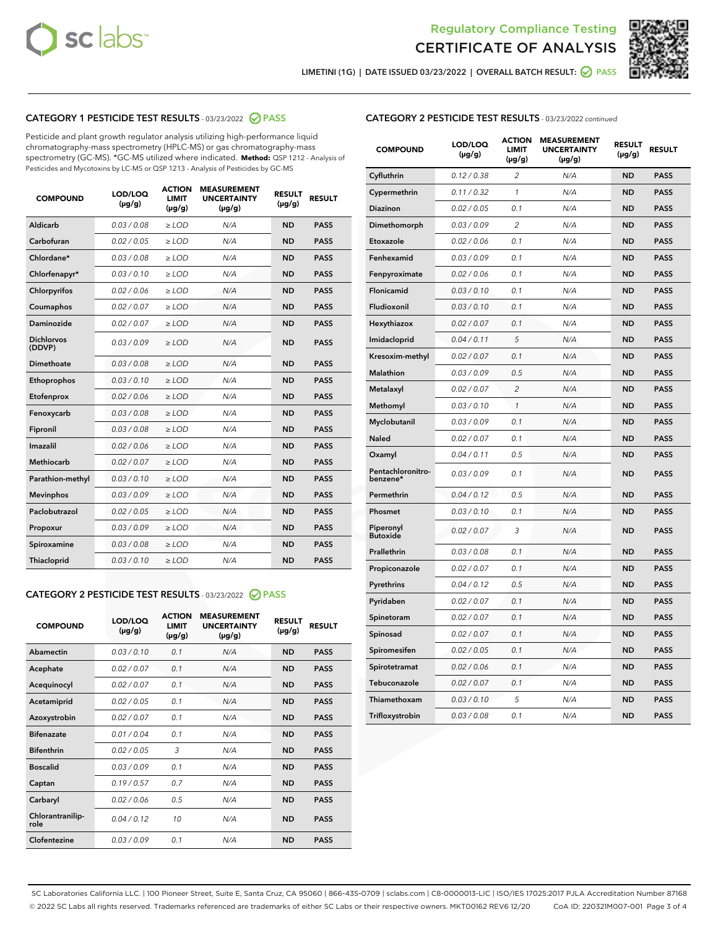



LIMETINI (1G) | DATE ISSUED 03/23/2022 | OVERALL BATCH RESULT: 2 PASS

## CATEGORY 1 PESTICIDE TEST RESULTS - 03/23/2022 2 PASS

Pesticide and plant growth regulator analysis utilizing high-performance liquid chromatography-mass spectrometry (HPLC-MS) or gas chromatography-mass spectrometry (GC-MS). \*GC-MS utilized where indicated. **Method:** QSP 1212 - Analysis of Pesticides and Mycotoxins by LC-MS or QSP 1213 - Analysis of Pesticides by GC-MS

| <b>COMPOUND</b>             | LOD/LOQ<br>$(\mu g/g)$ | <b>ACTION</b><br><b>LIMIT</b><br>$(\mu g/g)$ | <b>MEASUREMENT</b><br><b>UNCERTAINTY</b><br>$(\mu g/g)$ | <b>RESULT</b><br>$(\mu g/g)$ | <b>RESULT</b> |
|-----------------------------|------------------------|----------------------------------------------|---------------------------------------------------------|------------------------------|---------------|
| Aldicarb                    | 0.03 / 0.08            | $>$ LOD                                      | N/A                                                     | <b>ND</b>                    | <b>PASS</b>   |
| Carbofuran                  | 0.02 / 0.05            | ≥ LOD                                        | N/A                                                     | <b>ND</b>                    | <b>PASS</b>   |
| Chlordane*                  | 0.03/0.08              | $>$ LOD                                      | N/A                                                     | <b>ND</b>                    | <b>PASS</b>   |
| Chlorfenapyr*               | 0.03/0.10              | $>$ LOD                                      | N/A                                                     | <b>ND</b>                    | <b>PASS</b>   |
| Chlorpyrifos                | 0.02/0.06              | $>$ LOD                                      | N/A                                                     | <b>ND</b>                    | <b>PASS</b>   |
| Coumaphos                   | 0.02 / 0.07            | $>$ LOD                                      | N/A                                                     | <b>ND</b>                    | <b>PASS</b>   |
| <b>Daminozide</b>           | 0.02 / 0.07            | $\ge$ LOD                                    | N/A                                                     | <b>ND</b>                    | <b>PASS</b>   |
| <b>Dichlorvos</b><br>(DDVP) | 0.03/0.09              | $>$ LOD                                      | N/A                                                     | <b>ND</b>                    | <b>PASS</b>   |
| Dimethoate                  | 0.03 / 0.08            | $>$ LOD                                      | N/A                                                     | <b>ND</b>                    | <b>PASS</b>   |
| Ethoprophos                 | 0.03/0.10              | $>$ LOD                                      | N/A                                                     | <b>ND</b>                    | <b>PASS</b>   |
| Etofenprox                  | 0.02 / 0.06            | $\geq$ LOD                                   | N/A                                                     | <b>ND</b>                    | <b>PASS</b>   |
| Fenoxycarb                  | 0.03/0.08              | $>$ LOD                                      | N/A                                                     | <b>ND</b>                    | <b>PASS</b>   |
| Fipronil                    | 0.03 / 0.08            | $\geq$ LOD                                   | N/A                                                     | <b>ND</b>                    | <b>PASS</b>   |
| Imazalil                    | 0.02 / 0.06            | $\ge$ LOD                                    | N/A                                                     | <b>ND</b>                    | <b>PASS</b>   |
| <b>Methiocarb</b>           | 0.02 / 0.07            | $\ge$ LOD                                    | N/A                                                     | <b>ND</b>                    | <b>PASS</b>   |
| Parathion-methyl            | 0.03/0.10              | $\ge$ LOD                                    | N/A                                                     | <b>ND</b>                    | <b>PASS</b>   |
| <b>Mevinphos</b>            | 0.03/0.09              | $\ge$ LOD                                    | N/A                                                     | <b>ND</b>                    | <b>PASS</b>   |
| Paclobutrazol               | 0.02 / 0.05            | $\ge$ LOD                                    | N/A                                                     | <b>ND</b>                    | <b>PASS</b>   |
| Propoxur                    | 0.03/0.09              | $\geq$ LOD                                   | N/A                                                     | <b>ND</b>                    | <b>PASS</b>   |
| Spiroxamine                 | 0.03 / 0.08            | $\ge$ LOD                                    | N/A                                                     | <b>ND</b>                    | <b>PASS</b>   |
| Thiacloprid                 | 0.03/0.10              | $>$ LOD                                      | N/A                                                     | <b>ND</b>                    | <b>PASS</b>   |

#### CATEGORY 2 PESTICIDE TEST RESULTS - 03/23/2022 @ PASS

| <b>COMPOUND</b>          | LOD/LOQ<br>$(\mu g/g)$ | <b>ACTION</b><br><b>LIMIT</b><br>$(\mu g/g)$ | <b>MEASUREMENT</b><br><b>UNCERTAINTY</b><br>$(\mu g/g)$ | <b>RESULT</b><br>$(\mu g/g)$ | <b>RESULT</b> |
|--------------------------|------------------------|----------------------------------------------|---------------------------------------------------------|------------------------------|---------------|
| Abamectin                | 0.03/0.10              | 0.1                                          | N/A                                                     | <b>ND</b>                    | <b>PASS</b>   |
| Acephate                 | 0.02/0.07              | 0.1                                          | N/A                                                     | <b>ND</b>                    | <b>PASS</b>   |
| Acequinocyl              | 0.02/0.07              | 0.1                                          | N/A                                                     | <b>ND</b>                    | <b>PASS</b>   |
| Acetamiprid              | 0.02/0.05              | 0.1                                          | N/A                                                     | <b>ND</b>                    | <b>PASS</b>   |
| Azoxystrobin             | 0.02 / 0.07            | 0.1                                          | N/A                                                     | <b>ND</b>                    | <b>PASS</b>   |
| <b>Bifenazate</b>        | 0.01/0.04              | 0.1                                          | N/A                                                     | <b>ND</b>                    | <b>PASS</b>   |
| <b>Bifenthrin</b>        | 0.02/0.05              | 3                                            | N/A                                                     | <b>ND</b>                    | <b>PASS</b>   |
| <b>Boscalid</b>          | 0.03/0.09              | 0.1                                          | N/A                                                     | <b>ND</b>                    | <b>PASS</b>   |
| Captan                   | 0.19/0.57              | 0.7                                          | N/A                                                     | <b>ND</b>                    | <b>PASS</b>   |
| Carbaryl                 | 0.02/0.06              | 0.5                                          | N/A                                                     | <b>ND</b>                    | <b>PASS</b>   |
| Chlorantranilip-<br>role | 0.04/0.12              | 10                                           | N/A                                                     | <b>ND</b>                    | <b>PASS</b>   |
| Clofentezine             | 0.03/0.09              | 0.1                                          | N/A                                                     | <b>ND</b>                    | <b>PASS</b>   |

### CATEGORY 2 PESTICIDE TEST RESULTS - 03/23/2022 continued

| <b>COMPOUND</b>               | LOD/LOQ<br>(µg/g) | <b>ACTION</b><br>LIMIT<br>$(\mu g/g)$ | <b>MEASUREMENT</b><br><b>UNCERTAINTY</b><br>$(\mu g/g)$ | <b>RESULT</b><br>(µg/g) | <b>RESULT</b> |
|-------------------------------|-------------------|---------------------------------------|---------------------------------------------------------|-------------------------|---------------|
| Cyfluthrin                    | 0.12 / 0.38       | 2                                     | N/A                                                     | <b>ND</b>               | <b>PASS</b>   |
| Cypermethrin                  | 0.11 / 0.32       | $\mathcal{I}$                         | N/A                                                     | <b>ND</b>               | <b>PASS</b>   |
| Diazinon                      | 0.02 / 0.05       | 0.1                                   | N/A                                                     | ND                      | <b>PASS</b>   |
| Dimethomorph                  | 0.03 / 0.09       | $\overline{2}$                        | N/A                                                     | <b>ND</b>               | <b>PASS</b>   |
| Etoxazole                     | 0.02 / 0.06       | 0.1                                   | N/A                                                     | <b>ND</b>               | <b>PASS</b>   |
| Fenhexamid                    | 0.03 / 0.09       | 0.1                                   | N/A                                                     | ND                      | <b>PASS</b>   |
| Fenpyroximate                 | 0.02 / 0.06       | 0.1                                   | N/A                                                     | <b>ND</b>               | <b>PASS</b>   |
| Flonicamid                    | 0.03 / 0.10       | 0.1                                   | N/A                                                     | <b>ND</b>               | <b>PASS</b>   |
| Fludioxonil                   | 0.03 / 0.10       | 0.1                                   | N/A                                                     | <b>ND</b>               | <b>PASS</b>   |
| Hexythiazox                   | 0.02 / 0.07       | 0.1                                   | N/A                                                     | <b>ND</b>               | <b>PASS</b>   |
| Imidacloprid                  | 0.04 / 0.11       | 5                                     | N/A                                                     | <b>ND</b>               | <b>PASS</b>   |
| Kresoxim-methyl               | 0.02 / 0.07       | 0.1                                   | N/A                                                     | <b>ND</b>               | <b>PASS</b>   |
| <b>Malathion</b>              | 0.03 / 0.09       | 0.5                                   | N/A                                                     | <b>ND</b>               | <b>PASS</b>   |
| Metalaxyl                     | 0.02 / 0.07       | $\overline{c}$                        | N/A                                                     | <b>ND</b>               | <b>PASS</b>   |
| Methomyl                      | 0.03 / 0.10       | $\mathcal{I}$                         | N/A                                                     | <b>ND</b>               | <b>PASS</b>   |
| Myclobutanil                  | 0.03 / 0.09       | 0.1                                   | N/A                                                     | <b>ND</b>               | <b>PASS</b>   |
| <b>Naled</b>                  | 0.02 / 0.07       | 0.1                                   | N/A                                                     | <b>ND</b>               | <b>PASS</b>   |
| Oxamyl                        | 0.04 / 0.11       | 0.5                                   | N/A                                                     | <b>ND</b>               | <b>PASS</b>   |
| Pentachloronitro-<br>benzene* | 0.03 / 0.09       | 0.1                                   | N/A                                                     | <b>ND</b>               | <b>PASS</b>   |
| Permethrin                    | 0.04 / 0.12       | 0.5                                   | N/A                                                     | <b>ND</b>               | <b>PASS</b>   |
| Phosmet                       | 0.03 / 0.10       | 0.1                                   | N/A                                                     | <b>ND</b>               | <b>PASS</b>   |
| Piperonyl<br><b>Butoxide</b>  | 0.02 / 0.07       | 3                                     | N/A                                                     | <b>ND</b>               | <b>PASS</b>   |
| Prallethrin                   | 0.03 / 0.08       | 0.1                                   | N/A                                                     | <b>ND</b>               | <b>PASS</b>   |
| Propiconazole                 | 0.02 / 0.07       | 0.1                                   | N/A                                                     | ND                      | <b>PASS</b>   |
| Pyrethrins                    | 0.04 / 0.12       | 0.5                                   | N/A                                                     | <b>ND</b>               | <b>PASS</b>   |
| Pyridaben                     | 0.02 / 0.07       | 0.1                                   | N/A                                                     | <b>ND</b>               | <b>PASS</b>   |
| Spinetoram                    | 0.02 / 0.07       | 0.1                                   | N/A                                                     | <b>ND</b>               | <b>PASS</b>   |
| Spinosad                      | 0.02 / 0.07       | 0.1                                   | N/A                                                     | <b>ND</b>               | PASS          |
| Spiromesifen                  | 0.02 / 0.05       | 0.1                                   | N/A                                                     | ND                      | <b>PASS</b>   |
| Spirotetramat                 | 0.02 / 0.06       | 0.1                                   | N/A                                                     | <b>ND</b>               | <b>PASS</b>   |
| Tebuconazole                  | 0.02 / 0.07       | 0.1                                   | N/A                                                     | <b>ND</b>               | <b>PASS</b>   |
| Thiamethoxam                  | 0.03 / 0.10       | 5                                     | N/A                                                     | ND                      | <b>PASS</b>   |
| Trifloxystrobin               | 0.03 / 0.08       | 0.1                                   | N/A                                                     | <b>ND</b>               | <b>PASS</b>   |

SC Laboratories California LLC. | 100 Pioneer Street, Suite E, Santa Cruz, CA 95060 | 866-435-0709 | sclabs.com | C8-0000013-LIC | ISO/IES 17025:2017 PJLA Accreditation Number 87168 © 2022 SC Labs all rights reserved. Trademarks referenced are trademarks of either SC Labs or their respective owners. MKT00162 REV6 12/20 CoA ID: 220321M007-001 Page 3 of 4